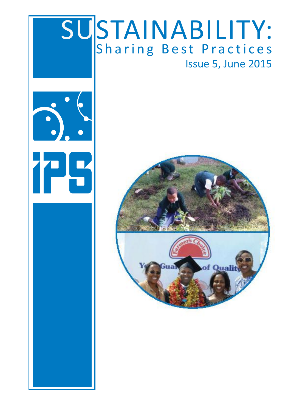### SUSTAINABILITY: Sharing Best Practices Issue 5, June 2015



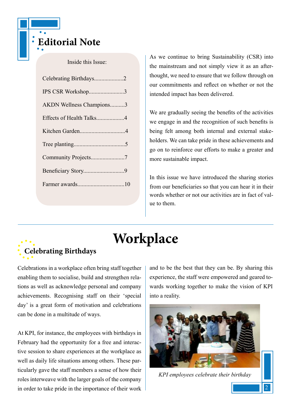

#### Inside this Issue:

| Celebrating Birthdays2   |
|--------------------------|
| IPS CSR Workshop3        |
| AKDN Wellness Champions3 |
| Effects of Health Talks4 |
|                          |
|                          |
|                          |
|                          |
|                          |

As we continue to bring Sustainability (CSR) into the mainstream and not simply view it as an afterthought, we need to ensure that we follow through on our commitments and reflect on whether or not the intended impact has been delivered.

We are gradually seeing the benefits of the activities we engage in and the recognition of such benefits is being felt among both internal and external stakeholders. We can take pride in these achievements and go on to reinforce our efforts to make a greater and more sustainable impact.

In this issue we have introduced the sharing stories from our beneficiaries so that you can hear it in their words whether or not our activities are in fact of value to them.

#### **Workplace**

### **Celebrating Birthdays**

Celebrations in a workplace often bring staff together enabling them to socialise, build and strengthen relations as well as acknowledge personal and company achievements. Recognising staff on their 'special day' is a great form of motivation and celebrations can be done in a multitude of ways.

At KPI, for instance, the employees with birthdays in February had the opportunity for a free and interactive session to share experiences at the workplace as well as daily life situations among others. These particularly gave the staff members a sense of how their roles interweave with the larger goals of the company in order to take pride in the importance of their work and to be the best that they can be. By sharing this experience, the staff were empowered and geared towards working together to make the vision of KPI into a reality.



*KPI employees celebrate their birthday*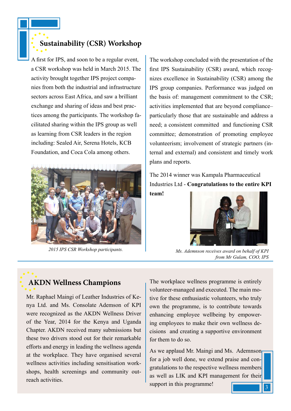A first for IPS, and soon to be a regular event, a CSR workshop was held in March 2015. The activity brought together IPS project companies from both the industrial and infrastructure sectors across East Africa, and saw a brilliant exchange and sharing of ideas and best practices among the participants. The workshop facilitated sharing within the IPS group as well as learning from CSR leaders in the region including: Sealed Air, Serena Hotels, KCB Foundation, and Coca Cola among others.



The workshop concluded with the presentation of the first IPS Sustainability (CSR) award, which recognizes excellence in Sustainability (CSR) among the IPS group companies. Performance was judged on the basis of: management commitment to the CSR; activities implemented that are beyond compliance– particularly those that are sustainable and address a need; a consistent committed and functioning CSR committee; demonstration of promoting employee volunteerism; involvement of strategic partners (internal and external) and consistent and timely work plans and reports.

The 2014 winner was Kampala Pharmaceutical Industries Ltd - **Congratulations to the entire KPI team!**



*2015 IPS CSR Workshop participants. Ms. Ademnson receives award on behalf of KPI from Mr Gulam, COO, IPS*

#### **AKDN Wellness Champions**

Mr. Raphael Maingi of Leather Industries of Kenya Ltd. and Ms. Consolate Ademson of KPI were recognized as the AKDN Wellness Driver of the Year, 2014 for the Kenya and Uganda Chapter. AKDN received many submissions but these two drivers stood out for their remarkable efforts and energy in leading the wellness agenda at the workplace. They have organised several wellness activities including sensitisation workshops, health screenings and community outreach activities.

The workplace wellness programme is entirely volunteer-managed and executed. The main motive for these enthusiastic volunteers, who truly own the programme, is to contribute towards enhancing employee wellbeing by empowering employees to make their own wellness decisions and creating a supportive environment for them to do so.

3 3 As we applaud Mr. Maingi and Ms. Ademnson for a job well done, we extend praise and congratulations to the respective wellness members as well as LIK and KPI management for their support in this programme!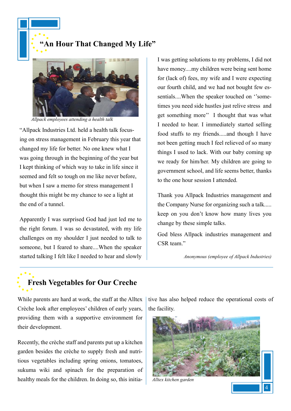**"An Hour That Changed My Life"**



*Allpack employees attending a health talk*

"Allpack Industries Ltd. held a health talk focusing on stress management in February this year that changed my life for better. No one knew what I was going through in the beginning of the year but I kept thinking of which way to take in life since it seemed and felt so tough on me like never before, but when I saw a memo for stress management I thought this might be my chance to see a light at the end of a tunnel.

Apparently I was surprised God had just led me to the right forum. I was so devastated, with my life challenges on my shoulder I just needed to talk to someone, but I feared to share....When the speaker started talking I felt like I needed to hear and slowly I was getting solutions to my problems, I did not have money....my children were being sent home for (lack of) fees, my wife and I were expecting our fourth child, and we had not bought few essentials....When the speaker touched on ''sometimes you need side hustles just relive stress and get something more'' I thought that was what I needed to hear. I immediately started selling food stuffs to my friends.....and though I have not been getting much I feel relieved of so many things I used to lack. With our baby coming up we ready for him/her. My children are going to government school, and life seems better, thanks to the one hour session I attended.

Thank you Allpack Industries management and the Company Nurse for organizing such a talk..... keep on you don't know how many lives you change by these simple talks.

God bless Allpack industries management and CSR team."

*Anonymous (employee of Allpack Industries)*

#### **Fresh Vegetables for Our Creche**

While parents are hard at work, the staff at the Alltex Crèche look after employees' children of early years, providing them with a supportive environment for their development.

Recently, the crèche staff and parents put up a kitchen garden besides the crèche to supply fresh and nutritious vegetables including spring onions, tomatoes, sukuma wiki and spinach for the preparation of healthy meals for the children. In doing so, this initiative has also helped reduce the operational costs of the facility.

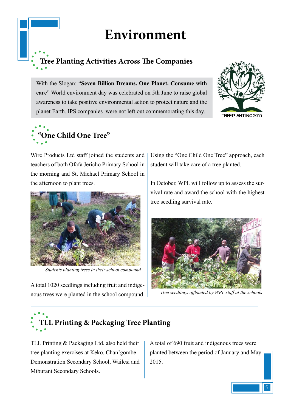#### **Environment**

### **Tree Planting Activities Across The Companies**

With the Slogan: "**Seven Billion Dreams. One Planet. Consume with care**" World environment day was celebrated on 5th June to raise global awareness to take positive environmental action to protect nature and the planet Earth. IPS companies were not left out commemorating this day.







Wire Products Ltd staff joined the students and teachers of both Ofafa Jericho Primary School in the morning and St. Michael Primary School in the afternoon to plant trees.



*Students planting trees in their school compound*

A total 1020 seedlings including fruit and indigenous trees were planted in the school compound. Using the "One Child One Tree" approach, each student will take care of a tree planted.

In October, WPL will follow up to assess the survival rate and award the school with the highest tree seedling survival rate.



*Tree seedlings offloaded by WPL staff at the schools*

# **TLL Printing & Packaging Tree Planting**

TLL Printing & Packaging Ltd. also held their tree planting exercises at Keko, Chan'gombe Demonstration Secondary School, Wailesi and Miburani Secondary Schools.

A total of 690 fruit and indigenous trees were planted between the period of January and May 2015.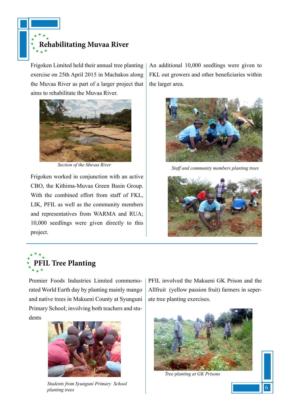

Frigoken Limited held their annual tree planting exercise on 25th April 2015 in Machakos along the Muvaa River as part of a larger project that aims to rehabilitate the Muvaa River.



Frigoken worked in conjunction with an active CBO, the Kithima-Muvaa Green Basin Group. With the combined effort from staff of FKL, LIK, PFIL as well as the community members and representatives from WARMA and RUA; 10,000 seedlings were given directly to this project.

An additional 10,000 seedlings were given to FKL out growers and other beneficiaries within the larger area.



*Section of the Muvaa River Staff and community members planting trees*





Premier Foods Industries Limited commemorated World Earth day by planting mainly mango and native trees in Makueni County at Syunguni Primary School; involving both teachers and students



*Students from Syunguni Primary School planting trees*

PFIL involved the Makueni GK Prison and the Allfruit (yellow passion fruit) farmers in seperate tree planting exercises.



*Tree planting at GK Prisons*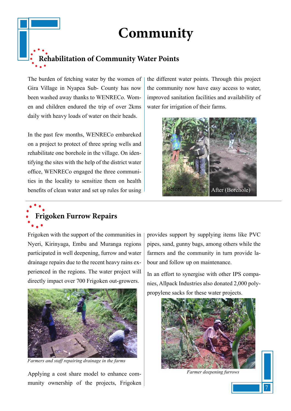#### **Community**

## **Rehabilitation of Community Water Points**

The burden of fetching water by the women of Gira Village in Nyapea Sub- County has now been washed away thanks to WENRECo. Women and children endured the trip of over 2kms daily with heavy loads of water on their heads.

In the past few months, WENRECo embareked on a project to protect of three spring wells and rehabilitate one borehole in the village. On identifying the sites with the help of the district water office, WENRECo engaged the three communities in the locality to sensitize them on health benefits of clean water and set up rules for using the different water points. Through this project the community now have easy access to water, improved sanitation facilities and availability of water for irrigation of their farms.



# **Frigoken Furrow Repairs**

Frigoken with the support of the communities in Nyeri, Kirinyaga, Embu and Muranga regions participated in well deepening, furrow and water drainage repairs due to the recent heavy rains experienced in the regions. The water project will directly impact over 700 Frigoken out-growers.



 *Farmers and staff repairing drainage in the farms*

Applying a cost share model to enhance community ownership of the projects, Frigoken provides support by supplying items like PVC pipes, sand, gunny bags, among others while the farmers and the community in turn provide labour and follow up on maintenance.

In an effort to synergise with other IPS companies, Allpack Industries also donated 2,000 polypropylene sacks for these water projects.



 *Farmer deepening furrows*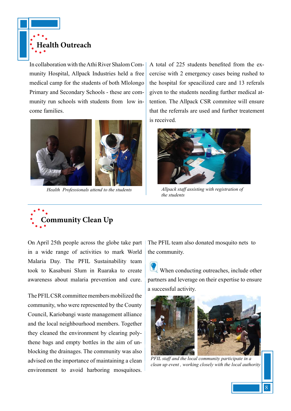

In collaboration with the Athi River Shalom Community Hospital, Allpack Industries held a free medical camp for the students of both Mlolongo Primary and Secondary Schools - these are community run schools with students from low income families.



A total of 225 students benefited from the excercise with 2 emergency cases being rushed to the hospital for speacilized care and 13 referals given to the students needing further medical attention. The Allpack CSR commitee will ensure that the referrals are used and further treatement is received.



*Health Professionals attend to the students Allpack staff assisting with registration of the students*



On April 25th people across the globe take part in a wide range of activities to mark World Malaria Day. The PFIL Sustainability team took to Kasabuni Slum in Ruaraka to create awareness about malaria prevention and cure.

The PFIL CSR committee members mobilized the community, who were represented by the County Council, Kariobangi waste management alliance and the local neighbourhood members. Together they cleaned the environment by clearing polythene bags and empty bottles in the aim of unblocking the drainages. The community was also advised on the importance of maintaining a clean environment to avoid harboring mosquitoes. The PFIL team also donated mosquito nets to the community.

When conducting outreaches, include other partners and leverage on their expertise to ensure a successful activity.



*PFIL staff and the local community participate in a clean up event , working closely with the local authority*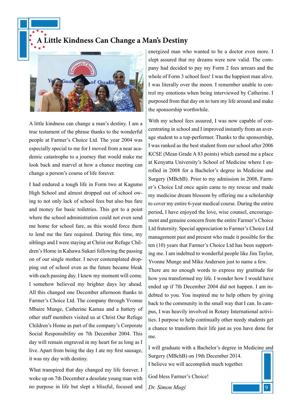**A Little Kindness Can Change a Man's Destiny**



A little kindness can change a man's destiny. I am a true testament of the phrase thanks to the wonderful people at Farmer's Choice Ltd. The year 2004 was especially special to me for I moved from a near academic catastrophe to a journey that would make me look back and marvel at how a chance meeting can change a person's course of life forever.

I had endured a tough life in Form two at Kagumo High School and almost dropped out of school owing to not only lack of school fees but also bus fare and money for basic toiletries. This got to a point where the school administration could not even send me home for school fare, as this would force them to lend me the fare required. During this time, my siblings and I were staying at Christ our Refuge Children's Home in Kahawa Sukari following the passing on of our single mother. I never contemplated dropping out of school even as the future became bleak with each passing day. I knew my moment will come. I somehow believed my brighter days lay ahead. All this changed one December afternoon thanks to Farmer's Choice Ltd. The company through Yvonne Mbaire Munge, Catherine Kamau and a battery of other staff members visited us at Christ Our Refuge Children's Home as part of the company's Corporate Social Responsibility on 7th December 2004. This day will remain engraved in my heart for as long as I live. Apart from being the day I ate my first sausage, it was my day with destiny.

What transpired that day changed my life forever. I woke up on 7th December a desolate young man with no purpose in life but slept a blissful, focused and energized man who wanted to be a doctor even more. I slept assured that my dreams were now valid. The company had decided to pay my Form 2 fees arrears and the whole of Form 3 school fees! I was the happiest man alive. I was literally over the moon. I remember unable to control my emotions when being interviewed by Catherine. I purposed from that day on to turn my life around and make the sponsorship worthwhile.

With my school fees assured, I was now capable of concentrating in school and I improved instantly from an average student to a top-performer. Thanks to the sponsorship, I was ranked as the best student from our school after 2006 KCSE (Mean Grade A 83 points) which earned me a place at Kenyatta University's School of Medicine where I enrolled in 2008 for a Bachelor's degree in Medicine and Surgery (MBchB). Prior to my admission in 2008, Farmer's Choice Ltd once again came to my rescue and made my medicine dream blossom by offering me a scholarship to cover my entire 6-year medical course. During the entire period, I have enjoyed the love, wise counsel, encouragement and genuine concern from the entire Farmer's Choice Ltd fraternity. Special appreciation to Farmer's Choice Ltd management past and present who made it possible for the ten (10) years that Farmer's Choice Ltd has been supporting me. I am indebted to wonderful people like Jim Taylor, Yvonne Munge and Mike Anderson just to name a few.

There are no enough words to express my gratitude for how you transformed my life. I wonder how I would have ended up if 7th December 2004 did not happen. I am indebted to you. You inspired me to help others by giving back to the community in the small way that I can. In campus, I was heavily involved in Rotary International activities. I purpose to help continually other needy students get a chance to transform their life just as you have done for me.

I will graduate with a Bachelor's degree in Medicine and Surgery (MBchB) on 19th December 2014. I believe we will accomplish much together.

 $\overline{9}$ 

God bless Farmer's Choice!

*Dr. Simon Mugi*